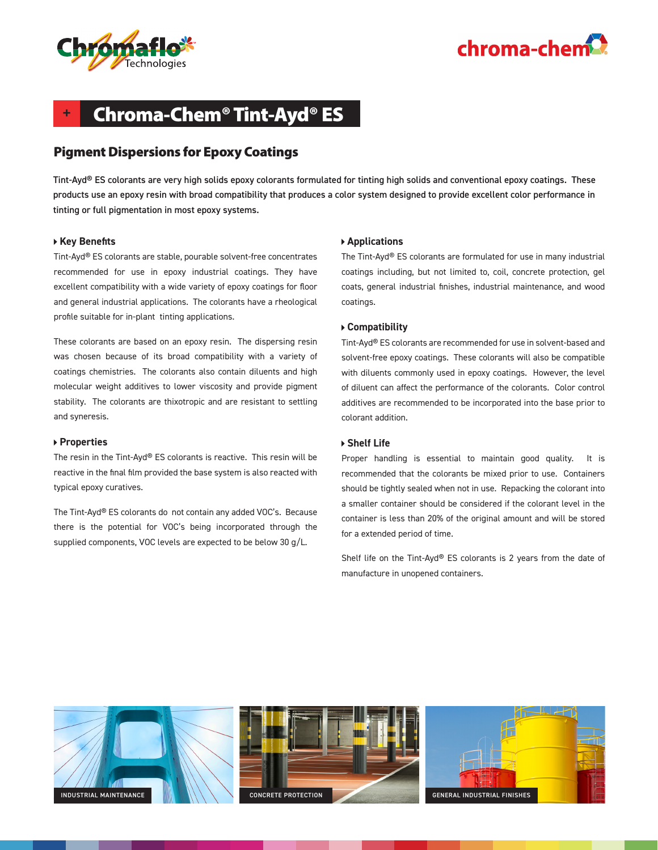



## **+** Chroma-Chem® Tint-Ayd® ES

### Pigment Dispersions for Epoxy Coatings

Tint-Ayd® ES colorants are very high solids epoxy colorants formulated for tinting high solids and conventional epoxy coatings. These products use an epoxy resin with broad compatibility that produces a color system designed to provide excellent color performance in tinting or full pigmentation in most epoxy systems.

### **Key Benefits**

Tint-Ayd® ES colorants are stable, pourable solvent-free concentrates recommended for use in epoxy industrial coatings. They have excellent compatibility with a wide variety of epoxy coatings for floor and general industrial applications. The colorants have a rheological profile suitable for in-plant tinting applications.

These colorants are based on an epoxy resin. The dispersing resin was chosen because of its broad compatibility with a variety of coatings chemistries. The colorants also contain diluents and high molecular weight additives to lower viscosity and provide pigment stability. The colorants are thixotropic and are resistant to settling and syneresis.

#### **Properties**

The resin in the Tint-Ayd® ES colorants is reactive. This resin will be reactive in the final film provided the base system is also reacted with typical epoxy curatives.

The Tint-Ayd® ES colorants do not contain any added VOC's. Because there is the potential for VOC's being incorporated through the supplied components, VOC levels are expected to be below 30 g/L.

#### **Applications**

The Tint-Ayd® ES colorants are formulated for use in many industrial coatings including, but not limited to, coil, concrete protection, gel coats, general industrial finishes, industrial maintenance, and wood coatings.

#### **Compatibility**

Tint-Ayd® ES colorants are recommended for use in solvent-based and solvent-free epoxy coatings. These colorants will also be compatible with diluents commonly used in epoxy coatings. However, the level of diluent can affect the performance of the colorants. Color control additives are recommended to be incorporated into the base prior to colorant addition.

#### **Shelf Life**

Proper handling is essential to maintain good quality. It is recommended that the colorants be mixed prior to use. Containers should be tightly sealed when not in use. Repacking the colorant into a smaller container should be considered if the colorant level in the container is less than 20% of the original amount and will be stored for a extended period of time.

Shelf life on the Tint-Ayd® ES colorants is 2 years from the date of manufacture in unopened containers.